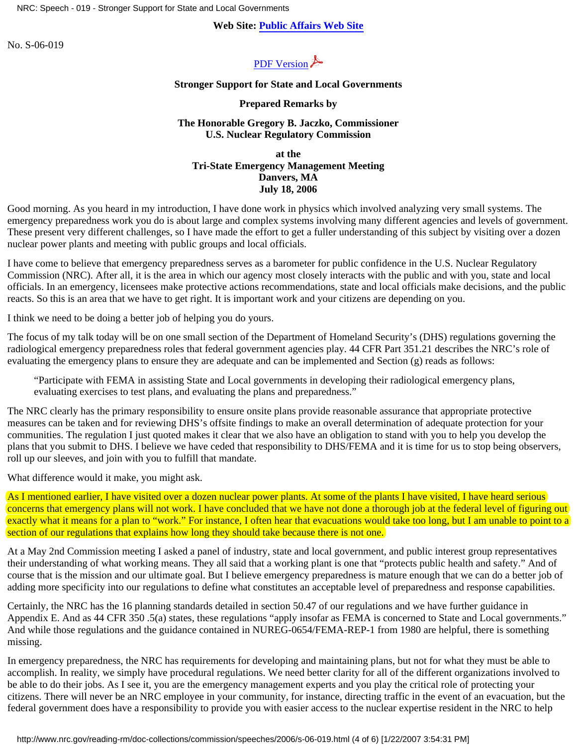NRC: Speech - 019 - Stronger Support for State and Local Governments

# **Web Site: [Public Affairs Web Site](http://www.nrc.gov/what-we-do/public-affairs.html)**

No. S-06-019



### **Stronger Support for State and Local Governments**

### **Prepared Remarks by**

## **The Honorable Gregory B. Jaczko, Commissioner U.S. Nuclear Regulatory Commission**

**at the Tri-State Emergency Management Meeting Danvers, MA July 18, 2006**

Good morning. As you heard in my introduction, I have done work in physics which involved analyzing very small systems. The emergency preparedness work you do is about large and complex systems involving many different agencies and levels of government. These present very different challenges, so I have made the effort to get a fuller understanding of this subject by visiting over a dozen nuclear power plants and meeting with public groups and local officials.

I have come to believe that emergency preparedness serves as a barometer for public confidence in the U.S. Nuclear Regulatory Commission (NRC). After all, it is the area in which our agency most closely interacts with the public and with you, state and local officials. In an emergency, licensees make protective actions recommendations, state and local officials make decisions, and the public reacts. So this is an area that we have to get right. It is important work and your citizens are depending on you.

I think we need to be doing a better job of helping you do yours.

The focus of my talk today will be on one small section of the Department of Homeland Security's (DHS) regulations governing the radiological emergency preparedness roles that federal government agencies play. 44 CFR Part 351.21 describes the NRC's role of evaluating the emergency plans to ensure they are adequate and can be implemented and Section (g) reads as follows:

"Participate with FEMA in assisting State and Local governments in developing their radiological emergency plans, evaluating exercises to test plans, and evaluating the plans and preparedness."

The NRC clearly has the primary responsibility to ensure onsite plans provide reasonable assurance that appropriate protective measures can be taken and for reviewing DHS's offsite findings to make an overall determination of adequate protection for your communities. The regulation I just quoted makes it clear that we also have an obligation to stand with you to help you develop the plans that you submit to DHS. I believe we have ceded that responsibility to DHS/FEMA and it is time for us to stop being observers, roll up our sleeves, and join with you to fulfill that mandate.

What difference would it make, you might ask.

As I mentioned earlier, I have visited over a dozen nuclear power plants. At some of the plants I have visited, I have heard serious concerns that emergency plans will not work. I have concluded that we have not done a thorough job at the federal level of figuring out exactly what it means for a plan to "work." For instance, I often hear that evacuations would take too long, but I am unable to point to a section of our regulations that explains how long they should take because there is not one.

At a May 2nd Commission meeting I asked a panel of industry, state and local government, and public interest group representatives their understanding of what working means. They all said that a working plant is one that "protects public health and safety." And of course that is the mission and our ultimate goal. But I believe emergency preparedness is mature enough that we can do a better job of adding more specificity into our regulations to define what constitutes an acceptable level of preparedness and response capabilities.

Certainly, the NRC has the 16 planning standards detailed in section 50.47 of our regulations and we have further guidance in Appendix E. And as 44 CFR 350 .5(a) states, these regulations "apply insofar as FEMA is concerned to State and Local governments." And while those regulations and the guidance contained in NUREG-0654/FEMA-REP-1 from 1980 are helpful, there is something missing.

In emergency preparedness, the NRC has requirements for developing and maintaining plans, but not for what they must be able to accomplish. In reality, we simply have procedural regulations. We need better clarity for all of the different organizations involved to be able to do their jobs. As I see it, you are the emergency management experts and you play the critical role of protecting your citizens. There will never be an NRC employee in your community, for instance, directing traffic in the event of an evacuation, but the federal government does have a responsibility to provide you with easier access to the nuclear expertise resident in the NRC to help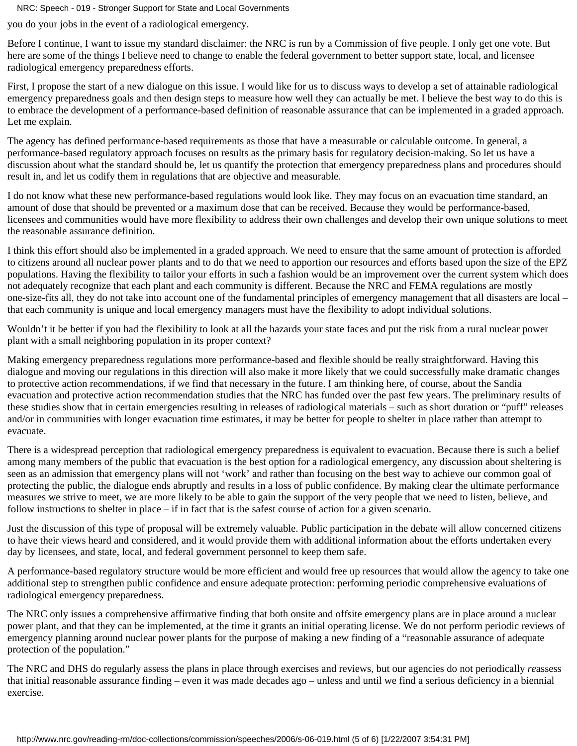NRC: Speech - 019 - Stronger Support for State and Local Governments

you do your jobs in the event of a radiological emergency.

Before I continue, I want to issue my standard disclaimer: the NRC is run by a Commission of five people. I only get one vote. But here are some of the things I believe need to change to enable the federal government to better support state, local, and licensee radiological emergency preparedness efforts.

First, I propose the start of a new dialogue on this issue. I would like for us to discuss ways to develop a set of attainable radiological emergency preparedness goals and then design steps to measure how well they can actually be met. I believe the best way to do this is to embrace the development of a performance-based definition of reasonable assurance that can be implemented in a graded approach. Let me explain.

The agency has defined performance-based requirements as those that have a measurable or calculable outcome. In general, a performance-based regulatory approach focuses on results as the primary basis for regulatory decision-making. So let us have a discussion about what the standard should be, let us quantify the protection that emergency preparedness plans and procedures should result in, and let us codify them in regulations that are objective and measurable.

I do not know what these new performance-based regulations would look like. They may focus on an evacuation time standard, an amount of dose that should be prevented or a maximum dose that can be received. Because they would be performance-based, licensees and communities would have more flexibility to address their own challenges and develop their own unique solutions to meet the reasonable assurance definition.

I think this effort should also be implemented in a graded approach. We need to ensure that the same amount of protection is afforded to citizens around all nuclear power plants and to do that we need to apportion our resources and efforts based upon the size of the EPZ populations. Having the flexibility to tailor your efforts in such a fashion would be an improvement over the current system which does not adequately recognize that each plant and each community is different. Because the NRC and FEMA regulations are mostly one-size-fits all, they do not take into account one of the fundamental principles of emergency management that all disasters are local – that each community is unique and local emergency managers must have the flexibility to adopt individual solutions.

Wouldn't it be better if you had the flexibility to look at all the hazards your state faces and put the risk from a rural nuclear power plant with a small neighboring population in its proper context?

Making emergency preparedness regulations more performance-based and flexible should be really straightforward. Having this dialogue and moving our regulations in this direction will also make it more likely that we could successfully make dramatic changes to protective action recommendations, if we find that necessary in the future. I am thinking here, of course, about the Sandia evacuation and protective action recommendation studies that the NRC has funded over the past few years. The preliminary results of these studies show that in certain emergencies resulting in releases of radiological materials – such as short duration or "puff" releases and/or in communities with longer evacuation time estimates, it may be better for people to shelter in place rather than attempt to evacuate.

There is a widespread perception that radiological emergency preparedness is equivalent to evacuation. Because there is such a belief among many members of the public that evacuation is the best option for a radiological emergency, any discussion about sheltering is seen as an admission that emergency plans will not 'work' and rather than focusing on the best way to achieve our common goal of protecting the public, the dialogue ends abruptly and results in a loss of public confidence. By making clear the ultimate performance measures we strive to meet, we are more likely to be able to gain the support of the very people that we need to listen, believe, and follow instructions to shelter in place – if in fact that is the safest course of action for a given scenario.

Just the discussion of this type of proposal will be extremely valuable. Public participation in the debate will allow concerned citizens to have their views heard and considered, and it would provide them with additional information about the efforts undertaken every day by licensees, and state, local, and federal government personnel to keep them safe.

A performance-based regulatory structure would be more efficient and would free up resources that would allow the agency to take one additional step to strengthen public confidence and ensure adequate protection: performing periodic comprehensive evaluations of radiological emergency preparedness.

The NRC only issues a comprehensive affirmative finding that both onsite and offsite emergency plans are in place around a nuclear power plant, and that they can be implemented, at the time it grants an initial operating license. We do not perform periodic reviews of emergency planning around nuclear power plants for the purpose of making a new finding of a "reasonable assurance of adequate protection of the population."

The NRC and DHS do regularly assess the plans in place through exercises and reviews, but our agencies do not periodically *re*assess that initial reasonable assurance finding – even it was made decades ago – unless and until we find a serious deficiency in a biennial exercise.